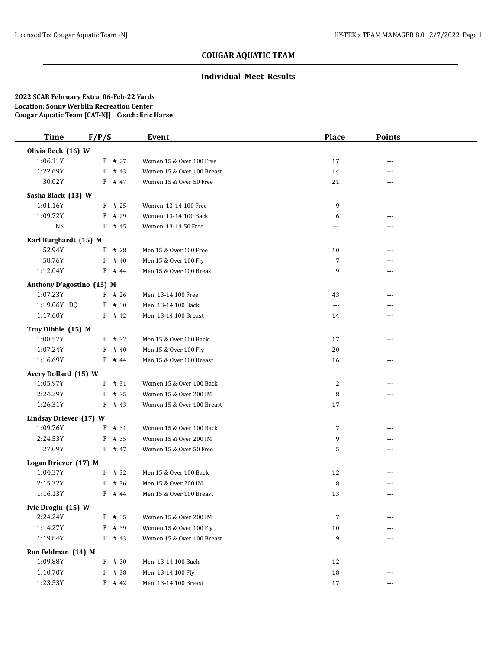## **Individual Meet Results**

| <b>Time</b>               | F/P/S |          | Event                      | <b>Place</b>   | <b>Points</b> |  |
|---------------------------|-------|----------|----------------------------|----------------|---------------|--|
| Olivia Beck (16) W        |       |          |                            |                |               |  |
| 1:06.11Y                  |       | $F$ # 27 | Women 15 & Over 100 Free   | 17             | ---           |  |
| 1:22.69Y                  | F     | # 43     | Women 15 & Over 100 Breast | 14             | ---           |  |
| 30.02Y                    |       | $F$ # 47 | Women 15 & Over 50 Free    | 21             | ---           |  |
| Sasha Black (13) W        |       |          |                            |                |               |  |
| 1:01.16Y                  |       | $F$ # 25 | Women 13-14 100 Free       | 9              | ---           |  |
| 1:09.72Y                  | F     | # 29     | Women 13-14 100 Back       | 6              | ---           |  |
| <b>NS</b>                 | F     | # 45     | Women 13-14 50 Free        | $\overline{a}$ | ---           |  |
| Karl Burghardt (15) M     |       |          |                            |                |               |  |
| 52.94Y                    |       | $F$ # 28 | Men 15 & Over 100 Free     | 10             | ---           |  |
| 58.76Y                    | F     | # 40     | Men 15 & Over 100 Fly      | $\overline{7}$ | ---           |  |
| 1:12.04Y                  |       | $F$ # 44 | Men 15 & Over 100 Breast   | 9              | ---           |  |
| Anthony D'agostino (13) M |       |          |                            |                |               |  |
| 1:07.23Y                  |       | $F$ # 26 | Men 13-14 100 Free         | 43             | ---           |  |
| 1:19.06Y DQ               |       | $F$ # 30 | Men 13-14 100 Back         | $---$          |               |  |
| 1:17.60Y                  |       | $F$ # 42 | Men 13-14 100 Breast       | 14             | ---           |  |
| Troy Dibble (15) M        |       |          |                            |                |               |  |
| 1:08.57Y                  |       | $F$ # 32 | Men 15 & Over 100 Back     | 17             | ---           |  |
| 1:07.24Y                  | F     | # 40     | Men 15 & Over 100 Fly      | $20\,$         | ---           |  |
| 1:16.69Y                  |       | $F$ # 44 | Men 15 & Over 100 Breast   | 16             | ---           |  |
| Avery Dollard (15) W      |       |          |                            |                |               |  |
| 1:05.97Y                  |       | $F$ # 31 | Women 15 & Over 100 Back   | 2              | ---           |  |
| 2:24.29Y                  |       | F # 35   | Women 15 & Over 200 IM     | 8              | ---           |  |
| 1:26.31Y                  |       | $F$ # 43 | Women 15 & Over 100 Breast | 17             |               |  |
| Lindsay Driever (17) W    |       |          |                            |                |               |  |
| 1:09.76Y                  | F     | # 31     | Women 15 & Over 100 Back   | 7              | ---           |  |
| 2:24.53Y                  |       | $F$ # 35 | Women 15 & Over 200 IM     | 9              | ---           |  |
| 27.09Y                    |       | $F$ # 47 | Women 15 & Over 50 Free    | 5              | ---           |  |
| Logan Driever (17) M      |       |          |                            |                |               |  |
| 1:04.37Y                  |       | $F$ # 32 | Men 15 & Over 100 Back     | 12             | ---           |  |
| 2:15.32Y                  |       | $F$ # 36 | Men 15 & Over 200 IM       | 8              |               |  |
| 1:16.13Y                  |       | F # 44   | Men 15 & Over 100 Breast   | 13             | $---$         |  |
| Ivie Drogin (15) W        |       |          |                            |                |               |  |
| 2:24.24Y                  |       | $F$ # 35 | Women 15 & Over 200 IM     | 7              | ---           |  |
| 1:14.27Y                  |       | F # 39   | Women 15 & Over 100 Fly    | 10             |               |  |
| 1:19.84Y                  |       | $F$ # 43 | Women 15 & Over 100 Breast | 9              |               |  |
| Ron Feldman (14) M        |       |          |                            |                |               |  |
| 1:09.88Y                  |       | $F$ # 30 | Men 13-14 100 Back         | 12             | ---           |  |
| 1:10.70Y                  |       | F # 38   | Men 13-14 100 Fly          | 18             | ---           |  |
| 1:23.53Y                  |       | $F$ # 42 | Men 13-14 100 Breast       | 17             | ---           |  |
|                           |       |          |                            |                |               |  |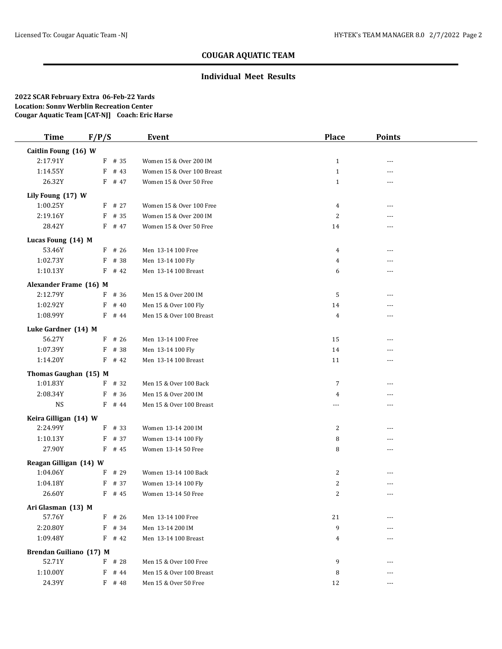## **Individual Meet Results**

| <b>Time</b>             | F/P/S     | <b>Event</b>               | <b>Place</b>   | <b>Points</b>  |  |
|-------------------------|-----------|----------------------------|----------------|----------------|--|
| Caitlin Foung (16) W    |           |                            |                |                |  |
| 2:17.91Y                | $F$ # 35  | Women 15 & Over 200 IM     | $\mathbf{1}$   | ---            |  |
| 1:14.55Y                | $F$ # 43  | Women 15 & Over 100 Breast | $\mathbf{1}$   | ---            |  |
| 26.32Y                  | F # 47    | Women 15 & Over 50 Free    | $\mathbf{1}$   | ---            |  |
| Lily Foung (17) W       |           |                            |                |                |  |
| 1:00.25Y                | F # 27    | Women 15 & Over 100 Free   | $\overline{4}$ | ---            |  |
| 2:19.16Y                | $F$ # 35  | Women 15 & Over 200 IM     | $\overline{2}$ | ---            |  |
| 28.42Y                  | F # 47    | Women 15 & Over 50 Free    | 14             | $- - -$        |  |
| Lucas Foung (14) M      |           |                            |                |                |  |
| 53.46Y                  | $F$ # 26  | Men 13-14 100 Free         | 4              | ---            |  |
| 1:02.73Y                | F # 38    | Men 13-14 100 Fly          | $\overline{4}$ | ---            |  |
| 1:10.13Y                | $F$ # 42  | Men 13-14 100 Breast       | 6              | $- - -$        |  |
| Alexander Frame (16) M  |           |                            |                |                |  |
| 2:12.79Y                | $F$ # 36  | Men 15 & Over 200 IM       | 5              | $---$          |  |
| 1:02.92Y                | # 40<br>F | Men 15 & Over 100 Fly      | 14             |                |  |
| 1:08.99Y                | $F$ # 44  | Men 15 & Over 100 Breast   | 4              | $- - -$        |  |
| Luke Gardner (14) M     |           |                            |                |                |  |
| 56.27Y                  | $F$ # 26  | Men 13-14 100 Free         | 15             | ---            |  |
| 1:07.39Y                | # 38<br>F | Men 13-14 100 Fly          | 14             | ---            |  |
| 1:14.20Y                | $F$ # 42  | Men 13-14 100 Breast       | 11             | ---            |  |
| Thomas Gaughan (15) M   |           |                            |                |                |  |
| 1:01.83Y                | $F$ # 32  | Men 15 & Over 100 Back     | $\overline{7}$ | $\overline{a}$ |  |
| 2:08.34Y                | # 36<br>F | Men 15 & Over 200 IM       | 4              | $---$          |  |
| <b>NS</b>               | $F$ # 44  | Men 15 & Over 100 Breast   | ---            |                |  |
| Keira Gilligan (14) W   |           |                            |                |                |  |
| 2:24.99Y                | $F$ # 33  | Women 13-14 200 IM         | $\overline{c}$ | ---            |  |
| 1:10.13Y                | F # 37    | Women 13-14 100 Fly        | 8              | ---            |  |
| 27.90Y                  | $F$ # 45  | Women 13-14 50 Free        | 8              | $\cdots$       |  |
| Reagan Gilligan (14) W  |           |                            |                |                |  |
| 1:04.06Y                | $F$ # 29  | Women 13-14 100 Back       | 2              | $\overline{a}$ |  |
| 1:04.18Y                | $F$ # 37  | Women 13-14 100 Fly        | $\overline{c}$ |                |  |
| 26.60Y                  | $F$ # 45  | Women 13-14 50 Free        | $\overline{c}$ | $---$          |  |
| Ari Glasman (13) M      |           |                            |                |                |  |
| 57.76Y                  | $F$ # 26  | Men 13-14 100 Free         | 21             |                |  |
| 2:20.80Y                | $F$ # 34  | Men 13-14 200 IM           | 9              |                |  |
| 1:09.48Y                | $F$ # 42  | Men 13-14 100 Breast       | 4              |                |  |
| Brendan Guiliano (17) M |           |                            |                |                |  |
| 52.71Y                  | $F$ # 28  | Men 15 & Over 100 Free     | 9              | ---            |  |
| 1:10.00Y                | F # 44    | Men 15 & Over 100 Breast   | 8              | ---            |  |
| 24.39Y                  | F # 48    | Men 15 & Over 50 Free      | 12             | $---$          |  |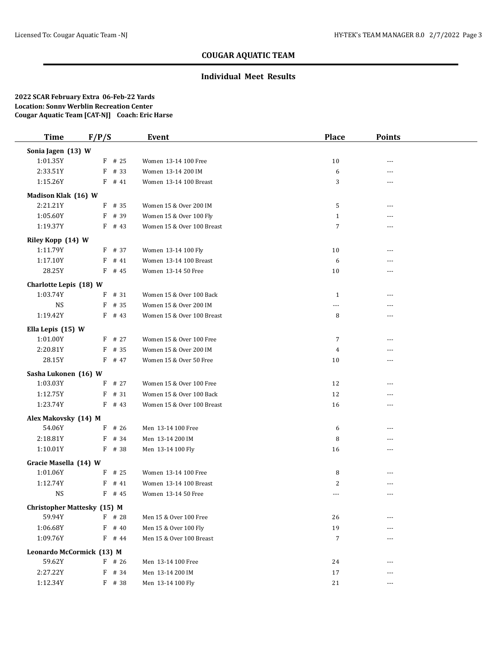## **Individual Meet Results**

| <b>Time</b>               | F/P/S                              | <b>Event</b>               | <b>Place</b>   | <b>Points</b>  |  |
|---------------------------|------------------------------------|----------------------------|----------------|----------------|--|
| Sonia Jagen (13) W        |                                    |                            |                |                |  |
| 1:01.35Y                  | $F$ # 25                           | Women 13-14 100 Free       | 10             | ---            |  |
| 2:33.51Y                  | $F$ # 33                           | Women 13-14 200 IM         | 6              | ---            |  |
| 1:15.26Y                  | $F$ # 41                           | Women 13-14 100 Breast     | 3              | ---            |  |
| Madison Klak (16) W       |                                    |                            |                |                |  |
| 2:21.21Y                  | F # 35                             | Women 15 & Over 200 IM     | 5              | ---            |  |
| 1:05.60Y                  | # 39<br>F                          | Women 15 & Over 100 Fly    | $\mathbf{1}$   | $---$          |  |
| 1:19.37Y                  | $F$ # 43                           | Women 15 & Over 100 Breast | $\overline{7}$ | $\overline{a}$ |  |
| Riley Kopp (14) W         |                                    |                            |                |                |  |
| 1:11.79Y                  | $F$ # 37                           | Women 13-14 100 Fly        | 10             | ---            |  |
| 1:17.10Y                  | F<br># 41                          | Women 13-14 100 Breast     | 6              | ---            |  |
| 28.25Y                    | $F$ # 45                           | Women 13-14 50 Free        | 10             | $---$          |  |
| Charlotte Lepis (18) W    |                                    |                            |                |                |  |
| 1:03.74Y                  | # 31<br>F                          | Women 15 & Over 100 Back   | $\mathbf{1}$   | $---$          |  |
| <b>NS</b>                 | # 35<br>F                          | Women 15 & Over 200 IM     | ---            |                |  |
| 1:19.42Y                  | $F$ # 43                           | Women 15 & Over 100 Breast | 8              | $- - -$        |  |
| Ella Lepis (15) W         |                                    |                            |                |                |  |
| 1:01.00Y                  | $F$ # 27                           | Women 15 & Over 100 Free   | $\overline{7}$ | ---            |  |
| 2:20.81Y                  | $F$ # 35                           | Women 15 & Over 200 IM     | 4              | ---            |  |
| 28.15Y                    | $F$ # 47                           | Women 15 & Over 50 Free    | 10             | ---            |  |
| Sasha Lukonen (16) W      |                                    |                            |                |                |  |
| 1:03.03Y                  | # 27<br>F                          | Women 15 & Over 100 Free   | 12             | ---            |  |
| 1:12.75Y                  | # 31<br>F                          | Women 15 & Over 100 Back   | 12             | $---$          |  |
| 1:23.74Y                  | $F$ # 43                           | Women 15 & Over 100 Breast | 16             |                |  |
| Alex Makovsky (14) M      |                                    |                            |                |                |  |
| 54.06Y                    | $F$ # 26                           | Men 13-14 100 Free         | 6              | ---            |  |
| 2:18.81Y                  | $F$ # 34                           | Men 13-14 200 IM           | 8              | ---            |  |
| 1:10.01Y                  | $F$ # 38                           | Men 13-14 100 Fly          | 16             | $\cdots$       |  |
| Gracie Masella (14) W     |                                    |                            |                |                |  |
| 1:01.06Y                  | $F$ # 25                           | Women 13-14 100 Free       | 8              | $---$          |  |
| 1:12.74Y                  | $F$ # 41                           | Women 13-14 100 Breast     | 2              |                |  |
| <b>NS</b>                 | $F$ # 45                           | Women 13-14 50 Free        | ---            | $- - -$        |  |
|                           | <b>Christopher Mattesky (15) M</b> |                            |                |                |  |
| 59.94Y                    | $F$ # 28                           | Men 15 & Over 100 Free     | 26             | ---            |  |
| 1:06.68Y                  | $F$ # 40                           | Men 15 & Over 100 Fly      | 19             |                |  |
| 1:09.76Y                  | $F$ # 44                           | Men 15 & Over 100 Breast   | $\overline{7}$ |                |  |
| Leonardo McCormick (13) M |                                    |                            |                |                |  |
| 59.62Y                    | $F$ # 26                           | Men 13-14 100 Free         | 24             | ---            |  |
| 2:27.22Y                  | F # 34                             | Men 13-14 200 IM           | 17             | ---            |  |
| 1:12.34Y                  | F # 38                             | Men 13-14 100 Fly          | 21             | ---            |  |
|                           |                                    |                            |                |                |  |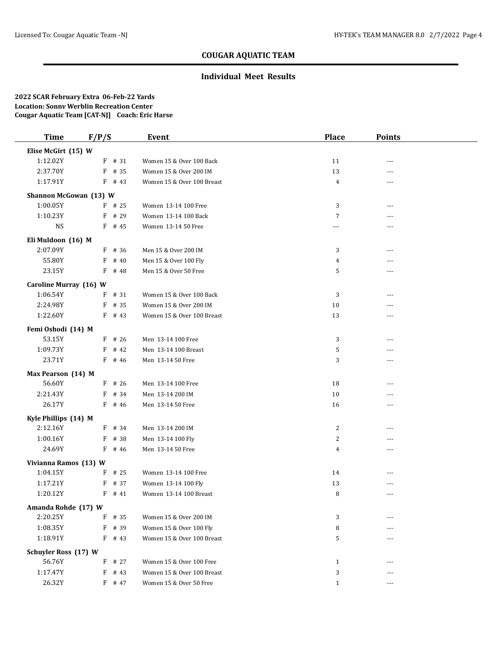## **Individual Meet Results**

| <b>Time</b>                        | F/P/S     | <b>Event</b>               | <b>Place</b>   | <b>Points</b>  |  |
|------------------------------------|-----------|----------------------------|----------------|----------------|--|
| Elise McGirt (15) W                |           |                            |                |                |  |
| 1:12.02Y                           | $F$ # 31  | Women 15 & Over 100 Back   | 11             | ---            |  |
| 2:37.70Y                           | F # 35    | Women 15 & Over 200 IM     | 13             | $---$          |  |
| 1:17.91Y                           | $F$ # 43  | Women 15 & Over 100 Breast | 4              | $\overline{a}$ |  |
| Shannon McGowan (13) W             |           |                            |                |                |  |
| 1:00.05Y                           | $F$ # 25  | Women 13-14 100 Free       | 3              | $\overline{a}$ |  |
| 1:10.23Y                           | $F$ # 29  | Women 13-14 100 Back       | $\overline{7}$ | ---            |  |
| <b>NS</b>                          | $F$ # 45  | Women 13-14 50 Free        | ---            | $---$          |  |
| Eli Muldoon (16) M                 |           |                            |                |                |  |
| 2:07.09Y                           | $F$ # 36  | Men 15 & Over 200 IM       | 3              | $- - -$        |  |
| 55.80Y                             | # 40<br>F | Men 15 & Over 100 Fly      | $\overline{4}$ | ---            |  |
| 23.15Y                             | $F$ # 48  | Men 15 & Over 50 Free      | 5              | ---            |  |
|                                    |           |                            |                |                |  |
| Caroline Murray (16) W<br>1:06.54Y | F<br># 31 | Women 15 & Over 100 Back   | 3              | ---            |  |
| 2:24.98Y                           | $F$ # 35  | Women 15 & Over 200 IM     | 10             |                |  |
| 1:22.60Y                           | $F$ # 43  | Women 15 & Over 100 Breast | 13             | ---            |  |
|                                    |           |                            |                |                |  |
| Femi Oshodi (14) M                 |           |                            |                |                |  |
| 53.15Y                             | $F$ # 26  | Men 13-14 100 Free         | 3              | $\overline{a}$ |  |
| 1:09.73Y                           | $F$ # 42  | Men 13-14 100 Breast       | 5              | $---$          |  |
| 23.71Y                             | $F$ # 46  | Men 13-14 50 Free          | 3              | ---            |  |
| Max Pearson (14) M                 |           |                            |                |                |  |
| 56.60Y                             | $F$ # 26  | Men 13-14 100 Free         | 18             | ---            |  |
| 2:21.43Y                           | F # 34    | Men 13-14 200 IM           | 10             |                |  |
| 26.17Y                             | $F$ # 46  | Men 13-14 50 Free          | 16             |                |  |
| Kyle Phillips (14) M               |           |                            |                |                |  |
| 2:12.16Y                           | F # 34    | Men 13-14 200 IM           | $\overline{c}$ | $---$          |  |
| 1:00.16Y                           | F # 38    | Men 13-14 100 Fly          | 2              | ---            |  |
| 24.69Y                             | $F$ # 46  | Men 13-14 50 Free          | 4              | $---$          |  |
| Vivianna Ramos (13) W              |           |                            |                |                |  |
| 1:04.15Y                           | $F$ # 25  | Women 13-14 100 Free       | 14             | ---            |  |
| 1:17.21Y                           | $F$ # 37  | Women 13-14 100 Fly        | 13             |                |  |
| 1:20.12Y                           | $F$ # 41  | Women 13-14 100 Breast     | 8              | ---            |  |
| Amanda Rohde (17) W                |           |                            |                |                |  |
| 2:20.25Y                           | $F$ # 35  | Women 15 & Over 200 IM     | 3              |                |  |
| 1:08.35Y                           | $F$ # 39  | Women 15 & Over 100 Fly    | 8              |                |  |
| 1:18.91Y                           | $F$ # 43  | Women 15 & Over 100 Breast | 5              |                |  |
| Schuyler Ross (17) W               |           |                            |                |                |  |
| 56.76Y                             | $F$ # 27  | Women 15 & Over 100 Free   | $\mathbf{1}$   |                |  |
| 1:17.47Y                           | $F$ # 43  | Women 15 & Over 100 Breast | 3              |                |  |
| 26.32Y                             | $F$ # 47  | Women 15 & Over 50 Free    | $\mathbf{1}$   | $---$          |  |
|                                    |           |                            |                |                |  |